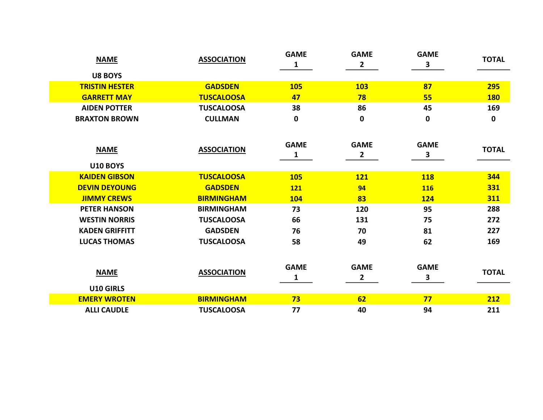| <b>NAME</b>                    | <b>ASSOCIATION</b> | <b>GAME</b><br>$\mathbf{1}$ | <b>GAME</b><br>$\mathbf{2}$   | <b>GAME</b><br>$\mathbf{3}$ | <b>TOTAL</b> |
|--------------------------------|--------------------|-----------------------------|-------------------------------|-----------------------------|--------------|
| <b>U8 BOYS</b>                 |                    |                             |                               |                             |              |
| <b>TRISTIN HESTER</b>          | <b>GADSDEN</b>     | <b>105</b>                  | <b>103</b>                    | 87                          | 295          |
| <b>GARRETT MAY</b>             | <b>TUSCALOOSA</b>  | 47                          | 78                            | 55                          | <b>180</b>   |
| <b>AIDEN POTTER</b>            | <b>TUSCALOOSA</b>  | 38                          | 86                            | 45                          | 169          |
| <b>BRAXTON BROWN</b>           | <b>CULLMAN</b>     | 0                           | $\mathbf 0$                   | $\mathbf 0$                 | 0            |
| <b>NAME</b><br><b>U10 BOYS</b> | <b>ASSOCIATION</b> | <b>GAME</b><br>1            | <b>GAME</b><br>$\overline{2}$ | <b>GAME</b><br>3            | <b>TOTAL</b> |
| <b>KAIDEN GIBSON</b>           | <b>TUSCALOOSA</b>  | <b>105</b>                  | <b>121</b>                    | <b>118</b>                  | 344          |
| <b>DEVIN DEYOUNG</b>           | <b>GADSDEN</b>     | <b>121</b>                  | 94                            | <b>116</b>                  | 331          |
| <b>JIMMY CREWS</b>             | <b>BIRMINGHAM</b>  | <b>104</b>                  | 83                            | <b>124</b>                  | 311          |
| <b>PETER HANSON</b>            | <b>BIRMINGHAM</b>  | 73                          | 120                           | 95                          | 288          |
| <b>WESTIN NORRIS</b>           | <b>TUSCALOOSA</b>  | 66                          | 131                           | 75                          | 272          |
| <b>KADEN GRIFFITT</b>          | <b>GADSDEN</b>     | 76                          | 70                            | 81                          | 227          |
| <b>LUCAS THOMAS</b>            | <b>TUSCALOOSA</b>  | 58                          | 49                            | 62                          | 169          |
| <b>NAME</b><br>U10 GIRLS       | <b>ASSOCIATION</b> | <b>GAME</b><br>1            | <b>GAME</b><br>$\mathbf{2}$   | <b>GAME</b><br>3            | <b>TOTAL</b> |
| <b>EMERY WROTEN</b>            | <b>BIRMINGHAM</b>  | 73                          | 62                            | 77                          | 212          |
| <b>ALLI CAUDLE</b>             | <b>TUSCALOOSA</b>  | 77                          | 40                            | 94                          | 211          |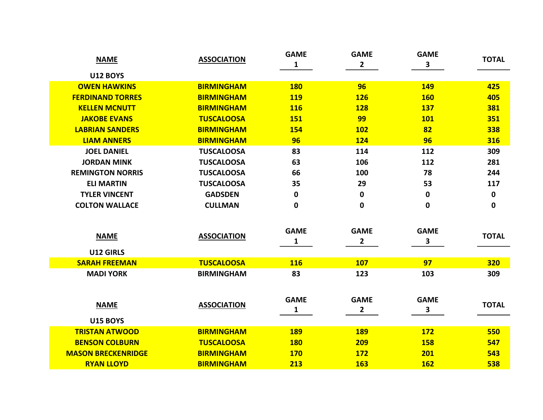| <b>NAME</b>                    | <b>ASSOCIATION</b> | <b>GAME</b><br>1            | <b>GAME</b><br>$\overline{2}$ | <b>GAME</b><br>3 | <b>TOTAL</b> |
|--------------------------------|--------------------|-----------------------------|-------------------------------|------------------|--------------|
| <b>U12 BOYS</b>                |                    |                             |                               |                  |              |
| <b>OWEN HAWKINS</b>            | <b>BIRMINGHAM</b>  | <b>180</b>                  | 96                            | <b>149</b>       | 425          |
| <b>FERDINAND TORRES</b>        | <b>BIRMINGHAM</b>  | <b>119</b>                  | <b>126</b>                    | <b>160</b>       | 405          |
| <b>KELLEN MCNUTT</b>           | <b>BIRMINGHAM</b>  | <b>116</b>                  | <b>128</b>                    | <b>137</b>       | 381          |
| <b>JAKOBE EVANS</b>            | <b>TUSCALOOSA</b>  | <b>151</b>                  | 99                            | <b>101</b>       | 351          |
| <b>LABRIAN SANDERS</b>         | <b>BIRMINGHAM</b>  | 154                         | <b>102</b>                    | 82               | 338          |
| <b>LIAM ANNERS</b>             | <b>BIRMINGHAM</b>  | 96                          | <b>124</b>                    | 96               | 316          |
| <b>JOEL DANIEL</b>             | <b>TUSCALOOSA</b>  | 83                          | 114                           | 112              | 309          |
| <b>JORDAN MINK</b>             | <b>TUSCALOOSA</b>  | 63                          | 106                           | 112              | 281          |
| <b>REMINGTON NORRIS</b>        | <b>TUSCALOOSA</b>  | 66                          | 100                           | 78               | 244          |
| <b>ELI MARTIN</b>              | <b>TUSCALOOSA</b>  | 35                          | 29                            | 53               | 117          |
| <b>TYLER VINCENT</b>           | <b>GADSDEN</b>     | 0                           | 0                             | 0                | 0            |
| <b>COLTON WALLACE</b>          | <b>CULLMAN</b>     | 0                           | $\bf{0}$                      | $\mathbf 0$      | 0            |
| <b>NAME</b>                    | <b>ASSOCIATION</b> | <b>GAME</b><br>1            | <b>GAME</b><br>$\overline{2}$ | <b>GAME</b><br>3 | <b>TOTAL</b> |
| U12 GIRLS                      |                    |                             |                               |                  |              |
| <b>SARAH FREEMAN</b>           | <b>TUSCALOOSA</b>  | <b>116</b>                  | <b>107</b>                    | 97               | <b>320</b>   |
| <b>MADI YORK</b>               | <b>BIRMINGHAM</b>  | 83                          | 123                           | 103              | 309          |
| <b>NAME</b><br><b>U15 BOYS</b> | <b>ASSOCIATION</b> | <b>GAME</b><br>$\mathbf{1}$ | <b>GAME</b><br>$\overline{2}$ | <b>GAME</b><br>3 | <b>TOTAL</b> |
| <b>TRISTAN ATWOOD</b>          | <b>BIRMINGHAM</b>  | <b>189</b>                  | <b>189</b>                    | <b>172</b>       | 550          |
| <b>BENSON COLBURN</b>          | <b>TUSCALOOSA</b>  | <b>180</b>                  | 209                           | <b>158</b>       | 547          |
| <b>MASON BRECKENRIDGE</b>      | <b>BIRMINGHAM</b>  | <b>170</b>                  | <b>172</b>                    | 201              | 543          |
| <b>RYAN LLOYD</b>              | <b>BIRMINGHAM</b>  | 213                         | <b>163</b>                    | <b>162</b>       | 538          |
|                                |                    |                             |                               |                  |              |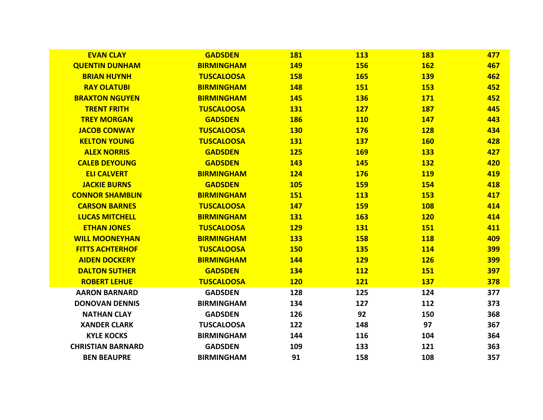| <b>EVAN CLAY</b>         | <b>GADSDEN</b>    | <b>181</b> | <b>113</b> | <b>183</b> | 477        |
|--------------------------|-------------------|------------|------------|------------|------------|
| <b>QUENTIN DUNHAM</b>    | <b>BIRMINGHAM</b> | <b>149</b> | <b>156</b> | <b>162</b> | 467        |
| <b>BRIAN HUYNH</b>       | <b>TUSCALOOSA</b> | <b>158</b> | <b>165</b> | <b>139</b> | 462        |
| <b>RAY OLATUBI</b>       | <b>BIRMINGHAM</b> | <b>148</b> | <b>151</b> | <b>153</b> | 452        |
| <b>BRAXTON NGUYEN</b>    | <b>BIRMINGHAM</b> | <b>145</b> | <b>136</b> | <b>171</b> | 452        |
| <b>TRENT FRITH</b>       | <b>TUSCALOOSA</b> | <b>131</b> | <b>127</b> | <b>187</b> | 445        |
| <b>TREY MORGAN</b>       | <b>GADSDEN</b>    | <b>186</b> | <b>110</b> | <b>147</b> | 443        |
| <b>JACOB CONWAY</b>      | <b>TUSCALOOSA</b> | <b>130</b> | <b>176</b> | <b>128</b> | 434        |
| <b>KELTON YOUNG</b>      | <b>TUSCALOOSA</b> | <b>131</b> | <b>137</b> | <b>160</b> | 428        |
| <b>ALEX NORRIS</b>       | <b>GADSDEN</b>    | <b>125</b> | <b>169</b> | <b>133</b> | 427        |
| <b>CALEB DEYOUNG</b>     | <b>GADSDEN</b>    | <b>143</b> | <b>145</b> | <b>132</b> | 420        |
| <b>ELI CALVERT</b>       | <b>BIRMINGHAM</b> | <b>124</b> | <b>176</b> | <b>119</b> | 419        |
| <b>JACKIE BURNS</b>      | <b>GADSDEN</b>    | <b>105</b> | <b>159</b> | <b>154</b> | 418        |
| <b>CONNOR SHAMBLIN</b>   | <b>BIRMINGHAM</b> | <b>151</b> | <b>113</b> | <b>153</b> | 417        |
| <b>CARSON BARNES</b>     | <b>TUSCALOOSA</b> | <b>147</b> | <b>159</b> | <b>108</b> | 414        |
| <b>LUCAS MITCHELL</b>    | <b>BIRMINGHAM</b> | <b>131</b> | <b>163</b> | <b>120</b> | 414        |
| <b>ETHAN JONES</b>       | <b>TUSCALOOSA</b> | <b>129</b> | <b>131</b> | <b>151</b> | 411        |
| <b>WILL MOONEYHAN</b>    | <b>BIRMINGHAM</b> | <b>133</b> | <b>158</b> | <b>118</b> | 409        |
| <b>FITTS ACHTERHOF</b>   | <b>TUSCALOOSA</b> | <b>150</b> | <b>135</b> | <b>114</b> | <b>399</b> |
| <b>AIDEN DOCKERY</b>     | <b>BIRMINGHAM</b> | 144        | <b>129</b> | <b>126</b> | 399        |
| <b>DALTON SUTHER</b>     | <b>GADSDEN</b>    | 134        | <b>112</b> | <b>151</b> | 397        |
| <b>ROBERT LEHUE</b>      | <b>TUSCALOOSA</b> | <b>120</b> | <b>121</b> | <b>137</b> | 378        |
| <b>AARON BARNARD</b>     | <b>GADSDEN</b>    | 128        | 125        | 124        | 377        |
| <b>DONOVAN DENNIS</b>    | <b>BIRMINGHAM</b> | 134        | 127        | 112        | 373        |
| <b>NATHAN CLAY</b>       | <b>GADSDEN</b>    | 126        | 92         | 150        | 368        |
| <b>XANDER CLARK</b>      | <b>TUSCALOOSA</b> | 122        | 148        | 97         | 367        |
| <b>KYLE KOCKS</b>        | <b>BIRMINGHAM</b> | 144        | 116        | 104        | 364        |
| <b>CHRISTIAN BARNARD</b> | <b>GADSDEN</b>    | 109        | 133        | 121        | 363        |
| <b>BEN BEAUPRE</b>       | <b>BIRMINGHAM</b> | 91         | 158        | 108        | 357        |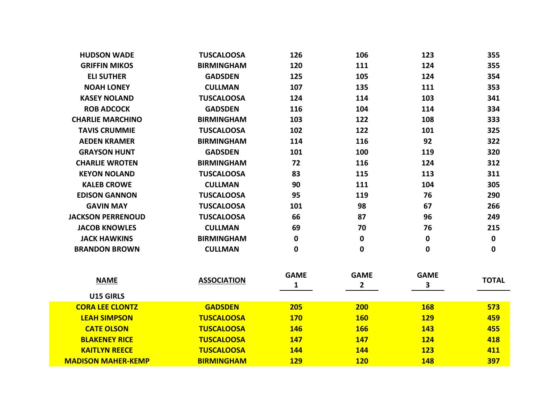| <b>HUDSON WADE</b>        | <b>TUSCALOOSA</b>  | 126                         | 106                         | 123                         | 355          |
|---------------------------|--------------------|-----------------------------|-----------------------------|-----------------------------|--------------|
| <b>GRIFFIN MIKOS</b>      | <b>BIRMINGHAM</b>  | 120                         | 111                         | 124                         | 355          |
| <b>ELI SUTHER</b>         | <b>GADSDEN</b>     | 125                         | 105                         | 124                         | 354          |
| <b>NOAH LONEY</b>         | <b>CULLMAN</b>     | 107                         | 135                         | 111                         | 353          |
| <b>KASEY NOLAND</b>       | <b>TUSCALOOSA</b>  | 124                         | 114                         | 103                         | 341          |
| <b>ROB ADCOCK</b>         | <b>GADSDEN</b>     | 116                         | 104                         | 114                         | 334          |
| <b>CHARLIE MARCHINO</b>   | <b>BIRMINGHAM</b>  | 103                         | 122                         | 108                         | 333          |
| <b>TAVIS CRUMMIE</b>      | <b>TUSCALOOSA</b>  | 102                         | 122                         | 101                         | 325          |
| <b>AEDEN KRAMER</b>       | <b>BIRMINGHAM</b>  | 114                         | 116                         | 92                          | 322          |
| <b>GRAYSON HUNT</b>       | <b>GADSDEN</b>     | 101                         | 100                         | 119                         | 320          |
| <b>CHARLIE WROTEN</b>     | <b>BIRMINGHAM</b>  | 72                          | 116                         | 124                         | 312          |
| <b>KEYON NOLAND</b>       | <b>TUSCALOOSA</b>  | 83                          | 115                         | 113                         | 311          |
| <b>KALEB CROWE</b>        | <b>CULLMAN</b>     | 90                          | 111                         | 104                         | 305          |
| <b>EDISON GANNON</b>      | <b>TUSCALOOSA</b>  | 95                          | 119                         | 76                          | 290          |
| <b>GAVIN MAY</b>          | <b>TUSCALOOSA</b>  | 101                         | 98                          | 67                          | 266          |
| <b>JACKSON PERRENOUD</b>  | <b>TUSCALOOSA</b>  | 66                          | 87                          | 96                          | 249          |
| <b>JACOB KNOWLES</b>      | <b>CULLMAN</b>     | 69                          | 70                          | 76                          | 215          |
| <b>JACK HAWKINS</b>       | <b>BIRMINGHAM</b>  | 0                           | $\mathbf 0$                 | 0                           | $\mathbf 0$  |
| <b>BRANDON BROWN</b>      | <b>CULLMAN</b>     | 0                           | 0                           | 0                           | 0            |
| <b>NAME</b>               | <b>ASSOCIATION</b> | <b>GAME</b><br>$\mathbf{1}$ | <b>GAME</b><br>$\mathbf{2}$ | <b>GAME</b><br>$\mathbf{3}$ | <b>TOTAL</b> |
| U15 GIRLS                 |                    |                             |                             |                             |              |
| <b>CORA LEE CLONTZ</b>    | <b>GADSDEN</b>     | 205                         | 200                         | <b>168</b>                  | 573          |
| <b>LEAH SIMPSON</b>       | <b>TUSCALOOSA</b>  | <b>170</b>                  | <b>160</b>                  | <b>129</b>                  | 459          |
| <b>CATE OLSON</b>         | <b>TUSCALOOSA</b>  | <b>146</b>                  | <b>166</b>                  | <b>143</b>                  | 455          |
| <b>BLAKENEY RICE</b>      | <b>TUSCALOOSA</b>  | <b>147</b>                  | 147                         | <b>124</b>                  | 418          |
| <b>KAITLYN REECE</b>      | <b>TUSCALOOSA</b>  | 144                         | 144                         | <b>123</b>                  | 411          |
| <b>MADISON MAHER-KEMP</b> | <b>BIRMINGHAM</b>  | <b>129</b>                  | <b>120</b>                  | 148                         | 397          |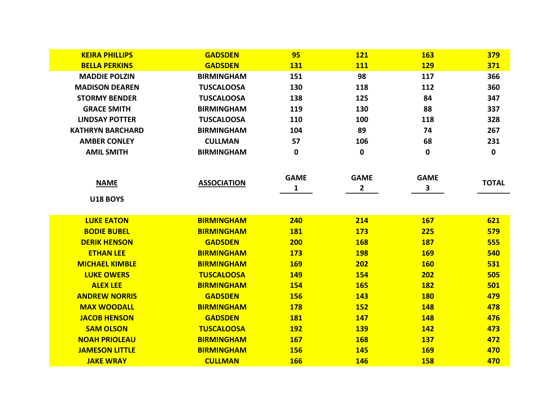| <b>KEIRA PHILLIPS</b>   | <b>GADSDEN</b>     | 95               | <b>121</b>                    | <b>163</b>                  | 379          |
|-------------------------|--------------------|------------------|-------------------------------|-----------------------------|--------------|
| <b>BELLA PERKINS</b>    | <b>GADSDEN</b>     | <b>131</b>       | <b>111</b>                    | <b>129</b>                  | 371          |
| <b>MADDIE POLZIN</b>    | <b>BIRMINGHAM</b>  | 151              | 98                            | 117                         | 366          |
| <b>MADISON DEAREN</b>   | <b>TUSCALOOSA</b>  | 130              | 118                           | 112                         | 360          |
| <b>STORMY BENDER</b>    | <b>TUSCALOOSA</b>  | 138              | 125                           | 84                          | 347          |
| <b>GRACE SMITH</b>      | <b>BIRMINGHAM</b>  | 119              | 130                           | 88                          | 337          |
| <b>LINDSAY POTTER</b>   | <b>TUSCALOOSA</b>  | 110              | 100                           | 118                         | 328          |
| <b>KATHRYN BARCHARD</b> | <b>BIRMINGHAM</b>  | 104              | 89                            | 74                          | 267          |
| <b>AMBER CONLEY</b>     | <b>CULLMAN</b>     | 57               | 106                           | 68                          | 231          |
| <b>AMIL SMITH</b>       | <b>BIRMINGHAM</b>  | 0                | $\mathbf 0$                   | $\mathbf 0$                 | $\mathbf 0$  |
| <b>NAME</b>             | <b>ASSOCIATION</b> | <b>GAME</b><br>1 | <b>GAME</b><br>$\overline{2}$ | <b>GAME</b><br>$\mathbf{3}$ | <b>TOTAL</b> |
| <b>U18 BOYS</b>         |                    |                  |                               |                             |              |
|                         |                    |                  |                               |                             |              |
| <b>LUKE EATON</b>       | <b>BIRMINGHAM</b>  | 240              | 214                           | <b>167</b>                  | 621          |
| <b>BODIE BUBEL</b>      | <b>BIRMINGHAM</b>  | <b>181</b>       | <b>173</b>                    | 225                         | 579          |
| <b>DERIK HENSON</b>     | <b>GADSDEN</b>     | 200              | <b>168</b>                    | <b>187</b>                  | 555          |
| <b>ETHAN LEE</b>        | <b>BIRMINGHAM</b>  | <b>173</b>       | <b>198</b>                    | <b>169</b>                  | 540          |
| <b>MICHAEL KIMBLE</b>   | <b>BIRMINGHAM</b>  | <b>169</b>       | 202                           | <b>160</b>                  | 531          |
| <b>LUKE OWERS</b>       | <b>TUSCALOOSA</b>  | <b>149</b>       | <b>154</b>                    | 202                         | 505          |
| <b>ALEX LEE</b>         | <b>BIRMINGHAM</b>  | <b>154</b>       | <b>165</b>                    | <b>182</b>                  | 501          |
| <b>ANDREW NORRIS</b>    | <b>GADSDEN</b>     | <b>156</b>       | <b>143</b>                    | <b>180</b>                  | 479          |
| <b>MAX WOODALL</b>      | <b>BIRMINGHAM</b>  | <b>178</b>       | <b>152</b>                    | <b>148</b>                  | 478          |
| <b>JACOB HENSON</b>     | <b>GADSDEN</b>     | <b>181</b>       | <b>147</b>                    | <b>148</b>                  | 476          |
| <b>SAM OLSON</b>        | <b>TUSCALOOSA</b>  | <b>192</b>       | <b>139</b>                    | <b>142</b>                  | 473          |
| <b>NOAH PRIOLEAU</b>    | <b>BIRMINGHAM</b>  | <b>167</b>       | <b>168</b>                    | <b>137</b>                  | 472          |
| <b>JAMESON LITTLE</b>   | <b>BIRMINGHAM</b>  | <b>156</b>       | <b>145</b>                    | <b>169</b>                  | 470          |
| <b>JAKE WRAY</b>        | <b>CULLMAN</b>     | <b>166</b>       | <b>146</b>                    | <b>158</b>                  | 470          |